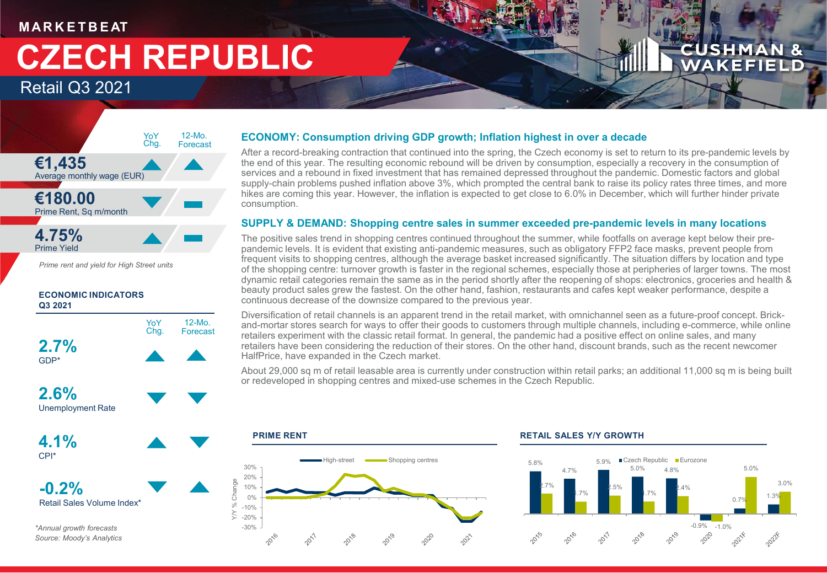### **M AR K E T B E AT**

# **CZECH REPUBLIC**

Retail Q3 2021



*Prime rent and yield for High Street units*

### **ECONOMIC INDICATORS Q3 2021**



*\*Annual growth forecasts Source: Moody's Analytics*

### **ECONOMY: Consumption driving GDP growth; Inflation highest in over a decade**

After a record-breaking contraction that continued into the spring, the Czech economy is set to return to its pre-pandemic levels by the end of this year. The resulting economic rebound will be driven by consumption, especially a recovery in the consumption of services and a rebound in fixed investment that has remained depressed throughout the pandemic. Domestic factors and global supply-chain problems pushed inflation above 3%, which prompted the central bank to raise its policy rates three times, and more hikes are coming this year. However, the inflation is expected to get close to 6.0% in December, which will further hinder private consumption.

### **SUPPLY & DEMAND: Shopping centre sales in summer exceeded pre-pandemic levels in many locations**

The positive sales trend in shopping centres continued throughout the summer, while footfalls on average kept below their prepandemic levels. It is evident that existing anti-pandemic measures, such as obligatory FFP2 face masks, prevent people from frequent visits to shopping centres, although the average basket increased significantly. The situation differs by location and type of the shopping centre: turnover growth is faster in the regional schemes, especially those at peripheries of larger towns. The most dynamic retail categories remain the same as in the period shortly after the reopening of shops: electronics, groceries and health & beauty product sales grew the fastest. On the other hand, fashion, restaurants and cafes kept weaker performance, despite a continuous decrease of the downsize compared to the previous year.

Diversification of retail channels is an apparent trend in the retail market, with omnichannel seen as a future-proof concept. Brickand-mortar stores search for ways to offer their goods to customers through multiple channels, including e-commerce, while online retailers experiment with the classic retail format. In general, the pandemic had a positive effect on online sales, and many retailers have been considering the reduction of their stores. On the other hand, discount brands, such as the recent newcomer HalfPrice, have expanded in the Czech market.

About 29,000 sq m of retail leasable area is currently under construction within retail parks; an additional 11,000 sq m is being built or redeveloped in shopping centres and mixed-use schemes in the Czech Republic.



### **PRIME RENT RETAIL SALES Y/Y GROWTH**



**CUSHMAN &** WAKEFIELD